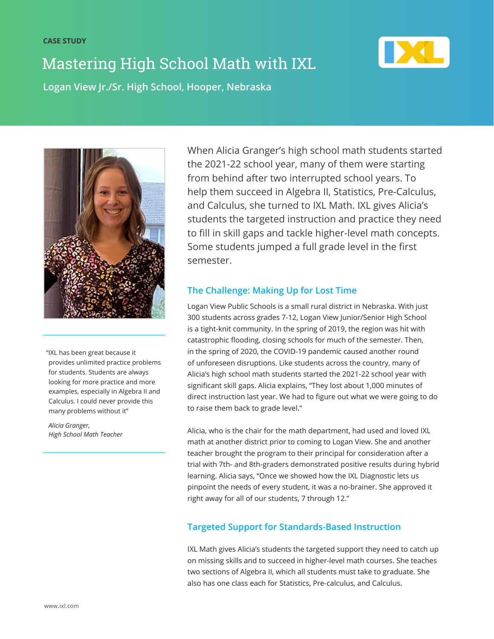# Mastering High School Math with IXL



**Logan View Jr./Sr. High School, Hooper, Nebraska** 



"IXL has been great because it provides unlimited practice problems for students. Students are always looking for more practice and more examples, especially in Algebra II and Calculus. I could never provide this many problems without it"

*Alicia Granger, High School Math Teacher*  When Alicia Granger's high school math students started the 2021-22 school year, many of them were starting from behind after two interrupted school years. To help them succeed in Algebra II, Statistics, Pre-Calculus, and Calculus, she turned to IXL Math. IXL gives Alicia's students the targeted instruction and practice they need to fill in skill gaps and tackle higher-level math concepts. Some students jumped a full grade level in the first semester.

### **The Challenge: Making Up for Lost Time**

Logan View Public Schools is a small rural district in Nebraska. With just 300 students across grades 7-12, Logan View Junior/Senior High School is a tight-knit community. In the spring of 2019, the region was hit with catastrophic flooding, closing schools for much of the semester. Then, in the spring of 2020, the COVID-19 pandemic caused another round of unforeseen disruptions. Like students across the country, many of Alicia's high school math students started the 2021-22 school year with significant skill gaps. Alicia explains, "They lost about 1,000 minutes of direct instruction last year. We had to figure out what we were going to do to raise them back to grade level."

Alicia, who is the chair for the math department, had used and loved IXL math at another district prior to coming to Logan View. She and another teacher brought the program to their principal for consideration after a trial with 7th- and 8th-graders demonstrated positive results during hybrid learning. Alicia says, "Once we showed how the IXL Diagnostic lets us pinpoint the needs of every student, it was a no-brainer. She approved it right away for all of our students, 7 through 12."

### **Targeted Support for Standards-Based Instruction**

IXL Math gives Alicia's students the targeted support they need to catch up on missing skills and to succeed in higher-level math courses. She teaches two sections of Algebra II, which all students must take to graduate. She also has one class each for Statistics, Pre-calculus, and Calculus.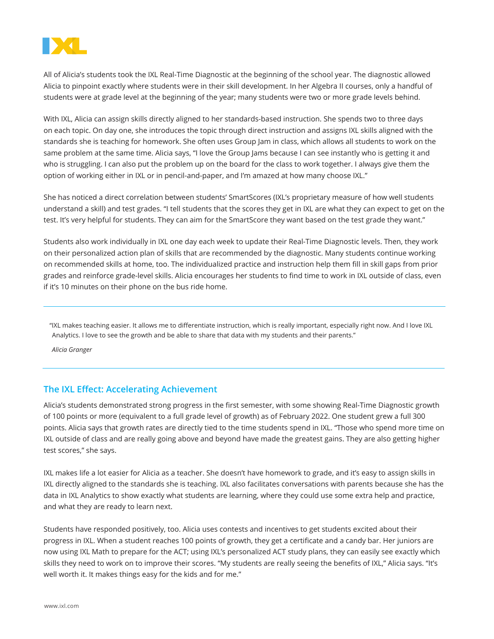

All of Alicia's students took the IXL Real-Time Diagnostic at the beginning of the school year. The diagnostic allowed Alicia to pinpoint exactly where students were in their skill development. In her Algebra II courses, only a handful of students were at grade level at the beginning of the year; many students were two or more grade levels behind.

With IXL, Alicia can assign skills directly aligned to her standards-based instruction. She spends two to three days on each topic. On day one, she introduces the topic through direct instruction and assigns IXL skills aligned with the standards she is teaching for homework. She often uses Group Jam in class, which allows all students to work on the same problem at the same time. Alicia says, "I love the Group Jams because I can see instantly who is getting it and who is struggling. I can also put the problem up on the board for the class to work together. I always give them the option of working either in IXL or in pencil-and-paper, and I'm amazed at how many choose IXL."

She has noticed a direct correlation between students' SmartScores (IXL's proprietary measure of how well students understand a skill) and test grades. "I tell students that the scores they get in IXL are what they can expect to get on the test. It's very helpful for students. They can aim for the SmartScore they want based on the test grade they want."

Students also work individually in IXL one day each week to update their Real-Time Diagnostic levels. Then, they work on their personalized action plan of skills that are recommended by the diagnostic. Many students continue working on recommended skills at home, too. The individualized practice and instruction help them fill in skill gaps from prior grades and reinforce grade-level skills. Alicia encourages her students to find time to work in IXL outside of class, even if it's 10 minutes on their phone on the bus ride home.

"IXL makes teaching easier. It allows me to differentiate instruction, which is really important, especially right now. And I love IXL Analytics. I love to see the growth and be able to share that data with my students and their parents."

*Alicia Granger*

#### **The IXL Effect: Accelerating Achievement**

Alicia's students demonstrated strong progress in the first semester, with some showing Real-Time Diagnostic growth of 100 points or more (equivalent to a full grade level of growth) as of February 2022. One student grew a full 300 points. Alicia says that growth rates are directly tied to the time students spend in IXL. "Those who spend more time on IXL outside of class and are really going above and beyond have made the greatest gains. They are also getting higher test scores," she says.

IXL makes life a lot easier for Alicia as a teacher. She doesn't have homework to grade, and it's easy to assign skills in IXL directly aligned to the standards she is teaching. IXL also facilitates conversations with parents because she has the data in IXL Analytics to show exactly what students are learning, where they could use some extra help and practice, and what they are ready to learn next.

Students have responded positively, too. Alicia uses contests and incentives to get students excited about their progress in IXL. When a student reaches 100 points of growth, they get a certificate and a candy bar. Her juniors are now using IXL Math to prepare for the ACT; using IXL's personalized ACT study plans, they can easily see exactly which skills they need to work on to improve their scores. "My students are really seeing the benefits of IXL," Alicia says. "It's well worth it. It makes things easy for the kids and for me."